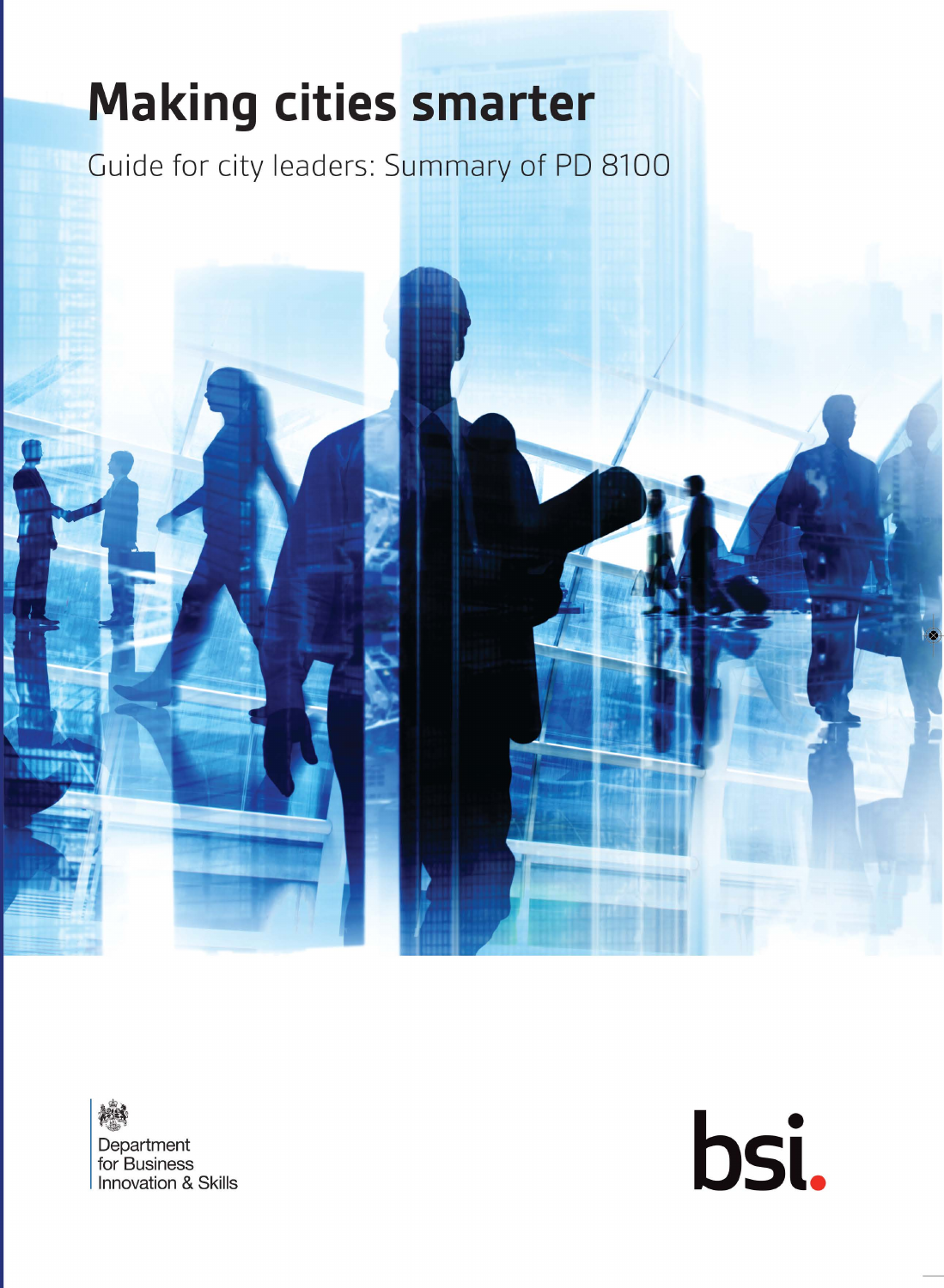# **Making cities smarter**

Guide for city leaders: Summary of PD 8100



横线 Department for Business **Innovation & Skills**  bsi.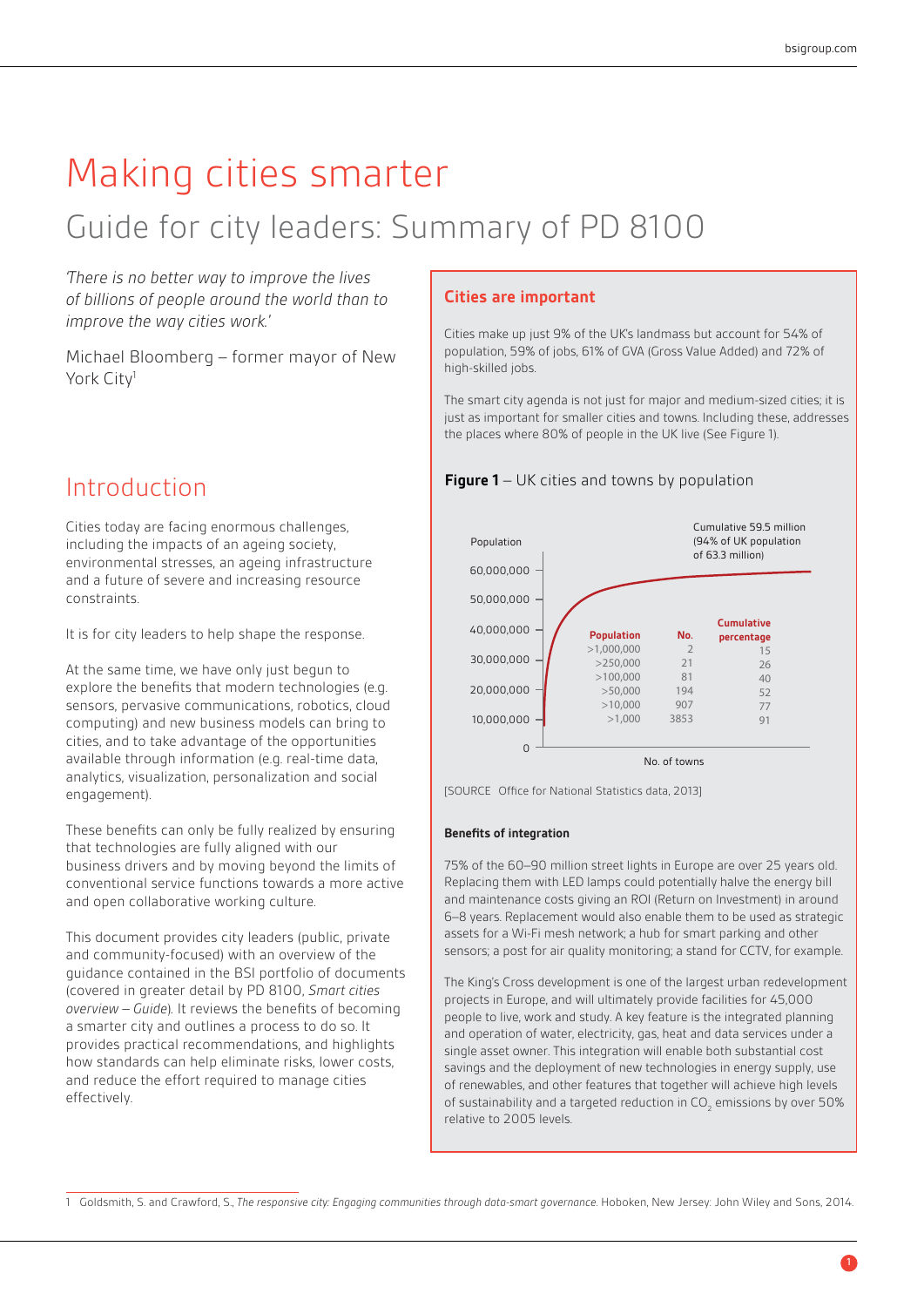# Making cities smarter

# Guide for city leaders: Summary of PD 8100

*'There is no better way to improve the lives of billions of people around the world than to improve the way cities work.'*

Michael Bloomberg *–* former mayor of New York City<sup>1</sup>

### Introduction

Cities today are facing enormous challenges, including the impacts of an ageing society, environmental stresses, an ageing infrastructure and a future of severe and increasing resource constraints.

It is for city leaders to help shape the response.

At the same time, we have only just begun to explore the benefits that modern technologies (e.g. sensors, pervasive communications, robotics, cloud computing) and new business models can bring to cities, and to take advantage of the opportunities available through information (e.g. real-time data, analytics, visualization, personalization and social engagement).

These benefits can only be fully realized by ensuring that technologies are fully aligned with our business drivers and by moving beyond the limits of conventional service functions towards a more active and open collaborative working culture.

This document provides city leaders (public, private and community-focused) with an overview of the guidance contained in the BSI portfolio of documents (covered in greater detail by PD 8100, *Smart cities overview - Guide*). It reviews the benefits of becoming a smarter city and outlines a process to do so. It provides practical recommendations, and highlights how standards can help eliminate risks, lower costs, and reduce the effort required to manage cities effectively.

#### **Cities are important**

Cities make up just 9% of the UK's landmass but account for 54% of population, 59% of jobs, 61% of GVA (Gross Value Added) and 72% of high-skilled jobs.

The smart city agenda is not just for major and medium-sized cities; it is just as important for smaller cities and towns. Including these, addresses the places where 80% of people in the UK live (See Figure 1).





[SOURCE Office for National Statistics data, 2013]

#### **Benefits of integration**

75% of the 60–90 million street lights in Europe are over 25 years old. Replacing them with LED lamps could potentially halve the energy bill and maintenance costs giving an ROI (Return on Investment) in around 6–8 years. Replacement would also enable them to be used as strategic assets for a Wi-Fi mesh network; a hub for smart parking and other sensors; a post for air quality monitoring; a stand for CCTV, for example.

The King's Cross development is one of the largest urban redevelopment projects in Europe, and will ultimately provide facilities for 45,000 people to live, work and study. A key feature is the integrated planning and operation of water, electricity, gas, heat and data services under a single asset owner. This integration will enable both substantial cost savings and the deployment of new technologies in energy supply, use of renewables, and other features that together will achieve high levels of sustainability and a targeted reduction in  $\mathsf{CO}_2$  emissions by over 50% relative to 2005 levels.

<sup>1</sup> Goldsmith, S. and Crawford, S., *The responsive city: Engaging communities through data-smart governance*. Hoboken, New Jersey: John Wiley and Sons, 2014.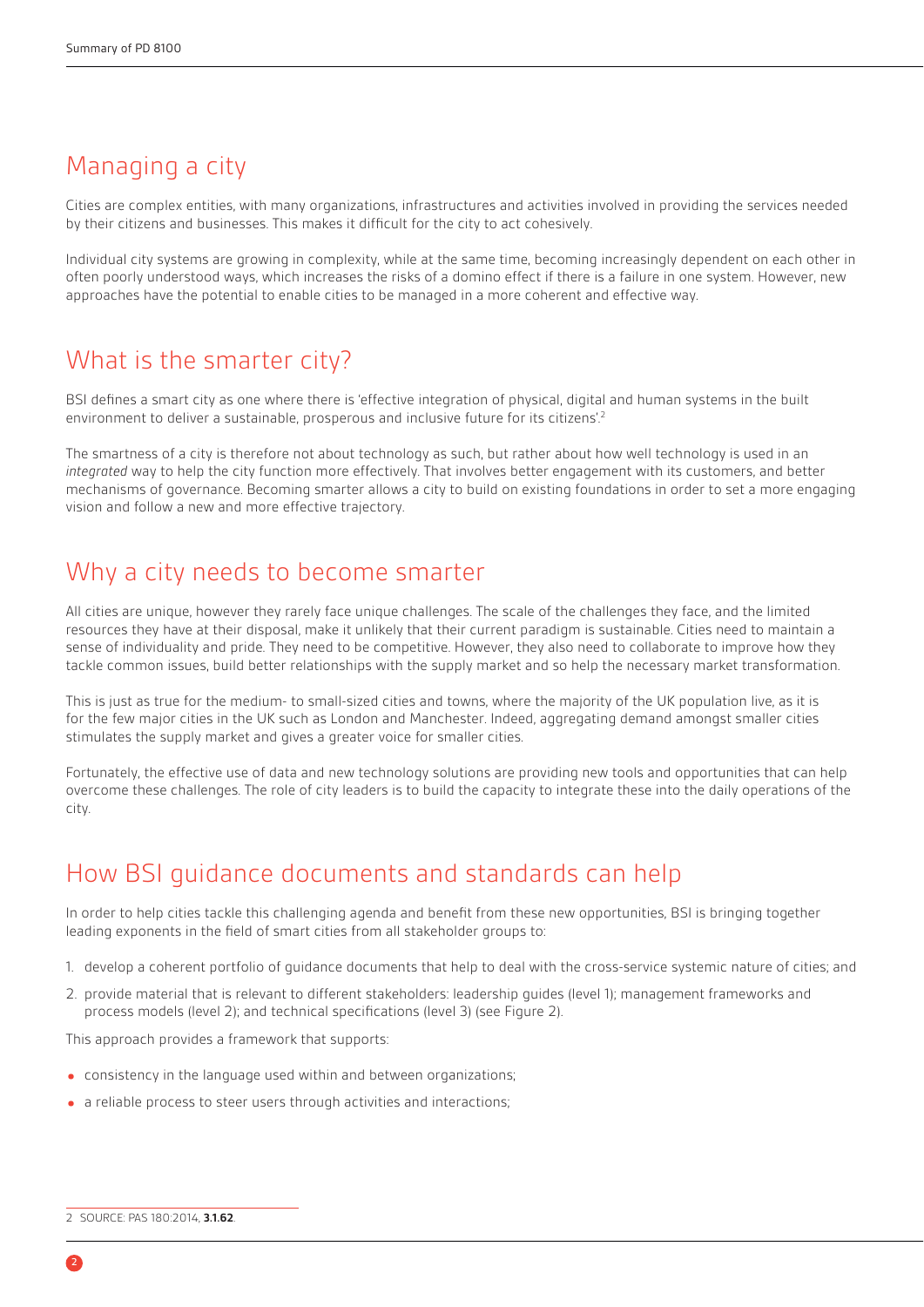# Managing a city

Cities are complex entities, with many organizations, infrastructures and activities involved in providing the services needed by their citizens and businesses. This makes it difficult for the city to act cohesively.

Individual city systems are growing in complexity, while at the same time, becoming increasingly dependent on each other in often poorly understood ways, which increases the risks of a domino effect if there is a failure in one system. However, new approaches have the potential to enable cities to be managed in a more coherent and effective way.

# What is the smarter city?

BSI defines a smart city as one where there is 'effective integration of physical, digital and human systems in the built environment to deliver a sustainable, prosperous and inclusive future for its citizens'.<sup>2</sup>

The smartness of a city is therefore not about technology as such, but rather about how well technology is used in an *integrated* way to help the city function more effectively. That involves better engagement with its customers, and better mechanisms of governance. Becoming smarter allows a city to build on existing foundations in order to set a more engaging vision and follow a new and more effective trajectory.

# Why a city needs to become smarter

All cities are unique, however they rarely face unique challenges. The scale of the challenges they face, and the limited resources they have at their disposal, make it unlikely that their current paradigm is sustainable. Cities need to maintain a sense of individuality and pride. They need to be competitive. However, they also need to collaborate to improve how they tackle common issues, build better relationships with the supply market and so help the necessary market transformation.

This is just as true for the medium- to small-sized cities and towns, where the majority of the UK population live, as it is for the few major cities in the UK such as London and Manchester. Indeed, aggregating demand amongst smaller cities stimulates the supply market and gives a greater voice for smaller cities.

Fortunately, the effective use of data and new technology solutions are providing new tools and opportunities that can help overcome these challenges. The role of city leaders is to build the capacity to integrate these into the daily operations of the city.

# How BSI guidance documents and standards can help

In order to help cities tackle this challenging agenda and benefit from these new opportunities, BSI is bringing together leading exponents in the field of smart cities from all stakeholder groups to:

- 1. develop a coherent portfolio of guidance documents that help to deal with the cross-service systemic nature of cities; and
- 2. provide material that is relevant to different stakeholders: leadership guides (level 1); management frameworks and process models (level 2); and technical specifications (level 3) (see [Figure 2\).](#page-3-0)

This approach provides a framework that supports:

- consistency in the language used within and between organizations;
- a reliable process to steer users through activities and interactions;

<sup>2</sup> SOURCE: PAS 180:2014, **3.1.62**.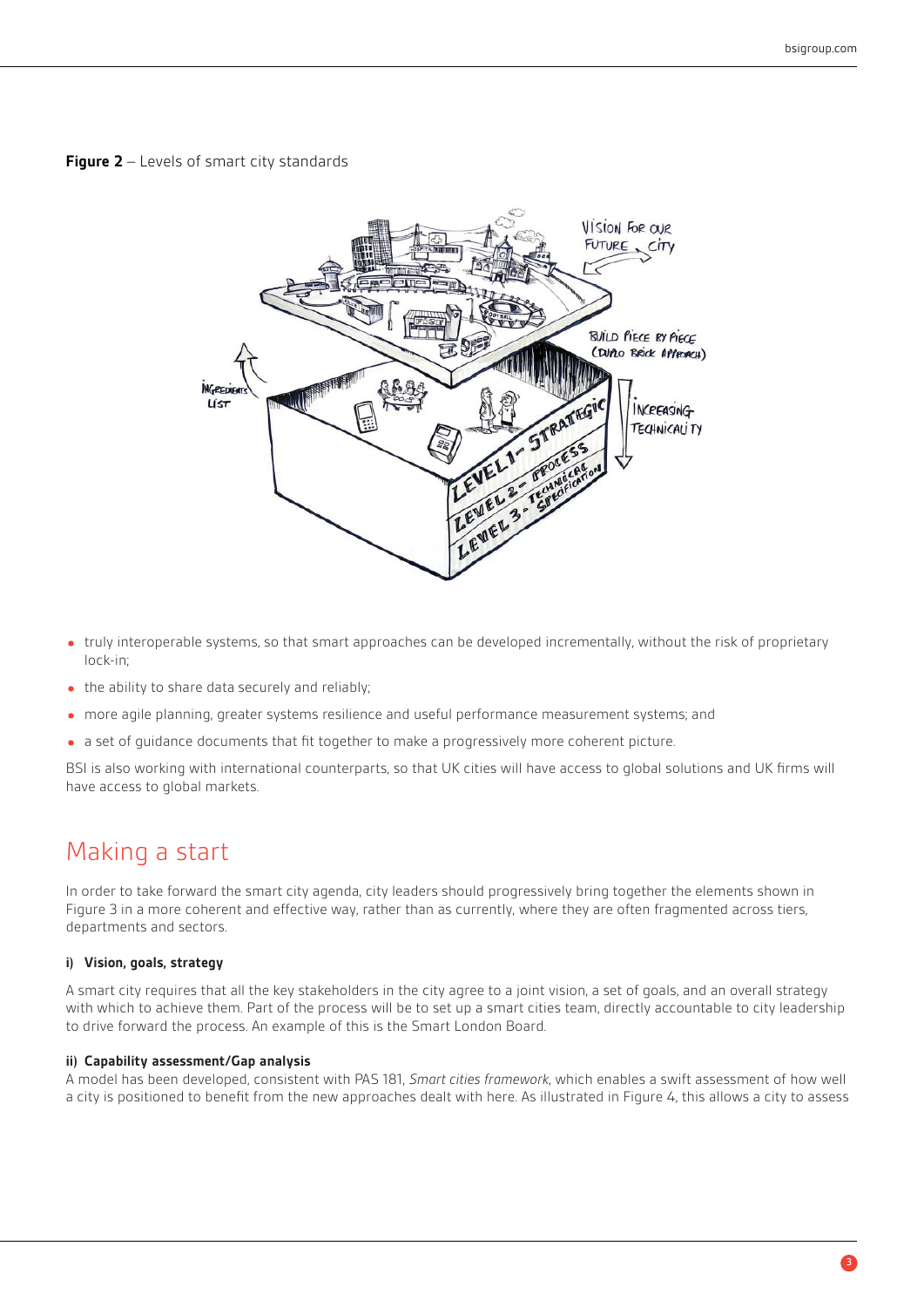#### <span id="page-3-0"></span>**Figure 2** – Levels of smart city standards



- truly interoperable systems, so that smart approaches can be developed incrementally, without the risk of proprietary lock-in;
- the ability to share data securely and reliably;
- more agile planning, greater systems resilience and useful performance measurement systems; and
- a set of guidance documents that fit together to make a progressively more coherent picture.

BSI is also working with international counterparts, so that UK cities will have access to global solutions and UK firms will have access to global markets.

### Making a start

In order to take forward the smart city agenda, city leaders should progressively bring together the elements shown in [Figure 3](#page-4-0) in a more coherent and effective way, rather than as currently, where they are often fragmented across tiers, departments and sectors.

#### **i) Vision, goals, strategy**

A smart city requires that all the key stakeholders in the city agree to a joint vision, a set of goals, and an overall strategy with which to achieve them. Part of the process will be to set up a smart cities team, directly accountable to city leadership to drive forward the process. An example of this is the Smart London Board.

#### **ii) Capability assessment/Gap analysis**

A model has been developed, consistent with PAS 181, *Smart cities framework*, which enables a swift assessment of how well a city is positioned to benefit from the new approaches dealt with here. As illustrated in [Figure 4,](#page-5-0) this allows a city to assess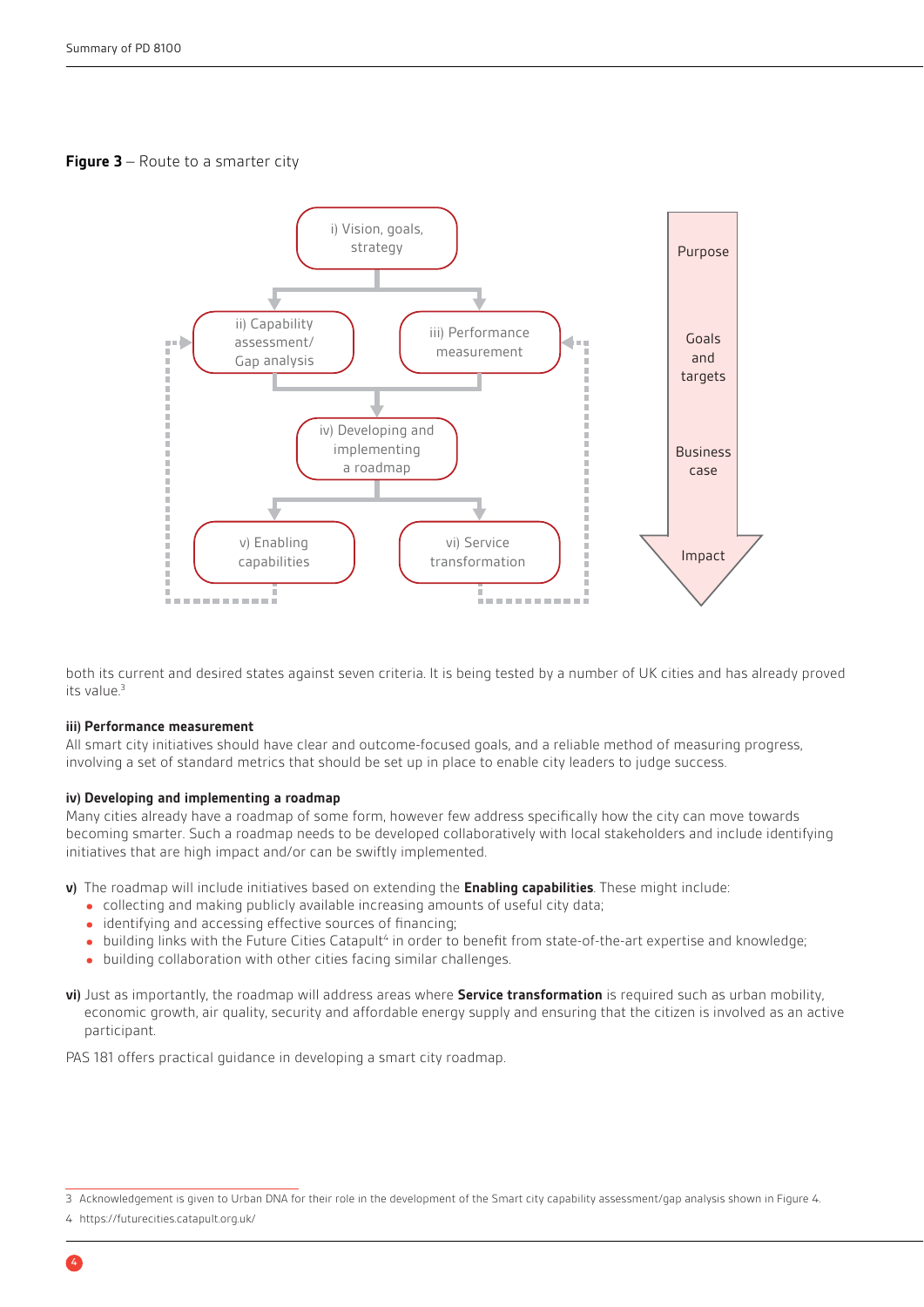#### <span id="page-4-0"></span>**Figure 3** – Route to a smarter city



both its current and desired states against seven criteria. It is being tested by a number of UK cities and has already proved its value $3$ 

#### **iii) Performance measurement**

All smart city initiatives should have clear and outcome-focused goals, and a reliable method of measuring progress, involving a set of standard metrics that should be set up in place to enable city leaders to judge success.

#### **iv) Developing and implementing a roadmap**

Many cities already have a roadmap of some form, however few address specifically how the city can move towards becoming smarter. Such a roadmap needs to be developed collaboratively with local stakeholders and include identifying initiatives that are high impact and/or can be swiftly implemented.

**v)** The roadmap will include initiatives based on extending the **Enabling capabilities**. These might include:

- collecting and making publicly available increasing amounts of useful city data;
- $\bullet$  identifying and accessing effective sources of financing;
- building links with the Future Cities Catapult<sup>4</sup> in order to benefit from state-of-the-art expertise and knowledge;<br>building cellaboration with other cities facing similar challenges.
- building collaboration with other cities facing similar challenges.
- **vi)** Just as importantly, the roadmap will address areas where **Service transformation** is required such as urban mobility, economic growth, air quality, security and affordable energy supply and ensuring that the citizen is involved as an active participant.

PAS 181 offers practical guidance in developing a smart city roadmap.

<sup>3</sup> Acknowledgement is given to Urban DNA for their role in the development of the Smart city capability assessment/gap analysis shown in Figure 4.

<sup>4</sup> https://futurecities.catapult.org.uk/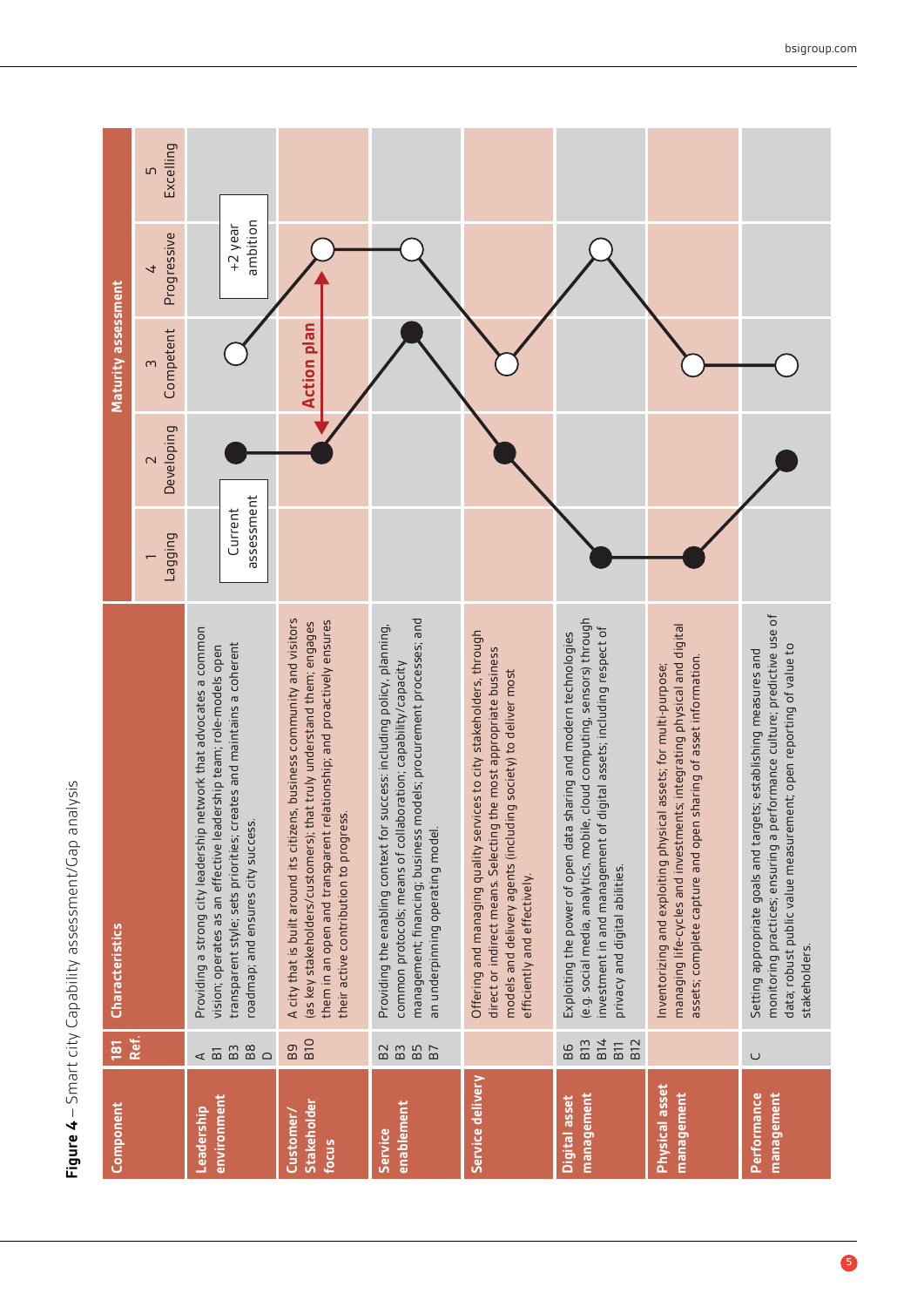<span id="page-5-0"></span>

| <b>Component</b>                  | 181                                                                       | <b>Characteristics</b>                                                                                                                                                                                                                                               |                       |                                       | Maturity assessment |                               |                |
|-----------------------------------|---------------------------------------------------------------------------|----------------------------------------------------------------------------------------------------------------------------------------------------------------------------------------------------------------------------------------------------------------------|-----------------------|---------------------------------------|---------------------|-------------------------------|----------------|
|                                   | Ref.                                                                      |                                                                                                                                                                                                                                                                      | <b>Duibber</b>        | Developing<br>$\overline{\mathsf{C}}$ | Competent<br>$\sim$ | Progressive<br>$\overline{t}$ | Excelling<br>5 |
| environment<br>Leadership         | $_{\rm B8}$<br>B <sub>3</sub><br>$\leq$ $\overline{\text{m}}$<br>$\Omega$ | Providing a strong city leadership network that advocates a common<br>transparent style; sets priorities; creates and maintains a coherent<br>vision; operates as an effective leadership team; role-models open<br>roadmap; and ensures city success.               | assessment<br>Current |                                       |                     | ambition<br>+2 year           |                |
| Stakeholder<br>Customer/<br>focus | B <sub>10</sub><br>Bg                                                     | A city that is built around its citizens, business community and visitors<br>them in an open and transparent relationship; and proactively ensures<br>(as key stakeholders/customers); that truly understand them; engages<br>their active contribution to progress. |                       |                                       | <b>Action plan</b>  |                               |                |
| enablement<br><b>Service</b>      | B5<br>B7<br>B <sub>2</sub><br>B <sub>3</sub>                              | management; financing; business models; procurement processes; and<br>Providing the enabling context for success: including policy, planning,<br>common protocols; means of collaboration; capability/capacity<br>an underpinning operating model                    |                       |                                       |                     |                               |                |
| Service delivery                  |                                                                           | Offering and managing quality services to city stakeholders, through<br>direct or indirect means. Selecting the most appropriate business<br>models and delivery agents (including society) to deliver most<br>efficiently and effectively.                          |                       |                                       |                     |                               |                |
| management<br>Digital asset       | <b>B14</b><br>B <sub>13</sub><br>B <sub>12</sub><br>B11<br>86             | cloud computing, sensors) through<br>nvestment in and management of digital assets; including respect of<br>Exploiting the power of open data sharing and modern technologies<br>(e.g. social media, analytics, mobile,<br>privacy and digital abilities.            |                       |                                       |                     |                               |                |
| Physical asset<br>management      |                                                                           | managing life-cycles and investments; integrating physical and digital<br>sharing of asset information.<br>Inventorizing and exploiting physical assets; for multi-purpose;<br>assets; complete capture and open                                                     |                       |                                       |                     |                               |                |
| management<br>Performance         | $\cup$                                                                    | monitoring practices; ensuring a performance culture; predictive use of<br>data; robust public value measurement; open reporting of value to<br>Setting appropriate goals and targets; establishing measures and<br>stakeholders.                                    |                       |                                       |                     |                               |                |

Figure 4 - Smart city Capability assessment/Gap analysis **Figure 4** – Smart city Capability assessment/Gap analysis

bsigroup.com

6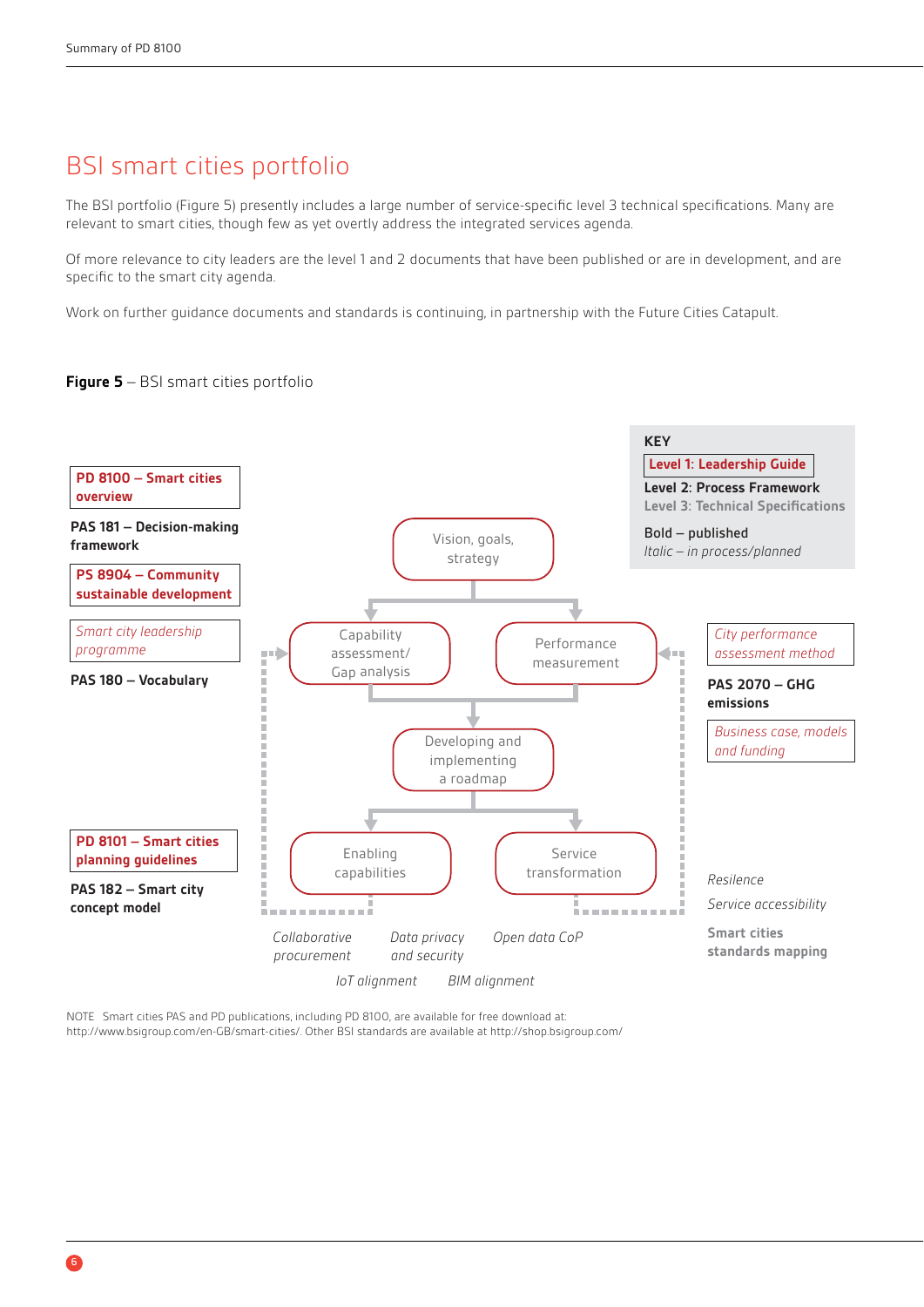# BSI smart cities portfolio

The BSI portfolio (Figure 5) presently includes a large number of service-specific level 3 technical specifications. Many are relevant to smart cities, though few as yet overtly address the integrated services agenda.

Of more relevance to city leaders are the level 1 and 2 documents that have been published or are in development, and are specific to the smart city agenda.

Work on further guidance documents and standards is continuing, in partnership with the Future Cities Catapult.

#### **Figure 5** – BSI smart cities portfolio



NOTE Smart cities PAS and PD publications, including PD 8100, are available for free download at: http://www.bsigroup.com/en-GB/smart-cities/. Other BSI standards are available at http://shop.bsigroup.com/

6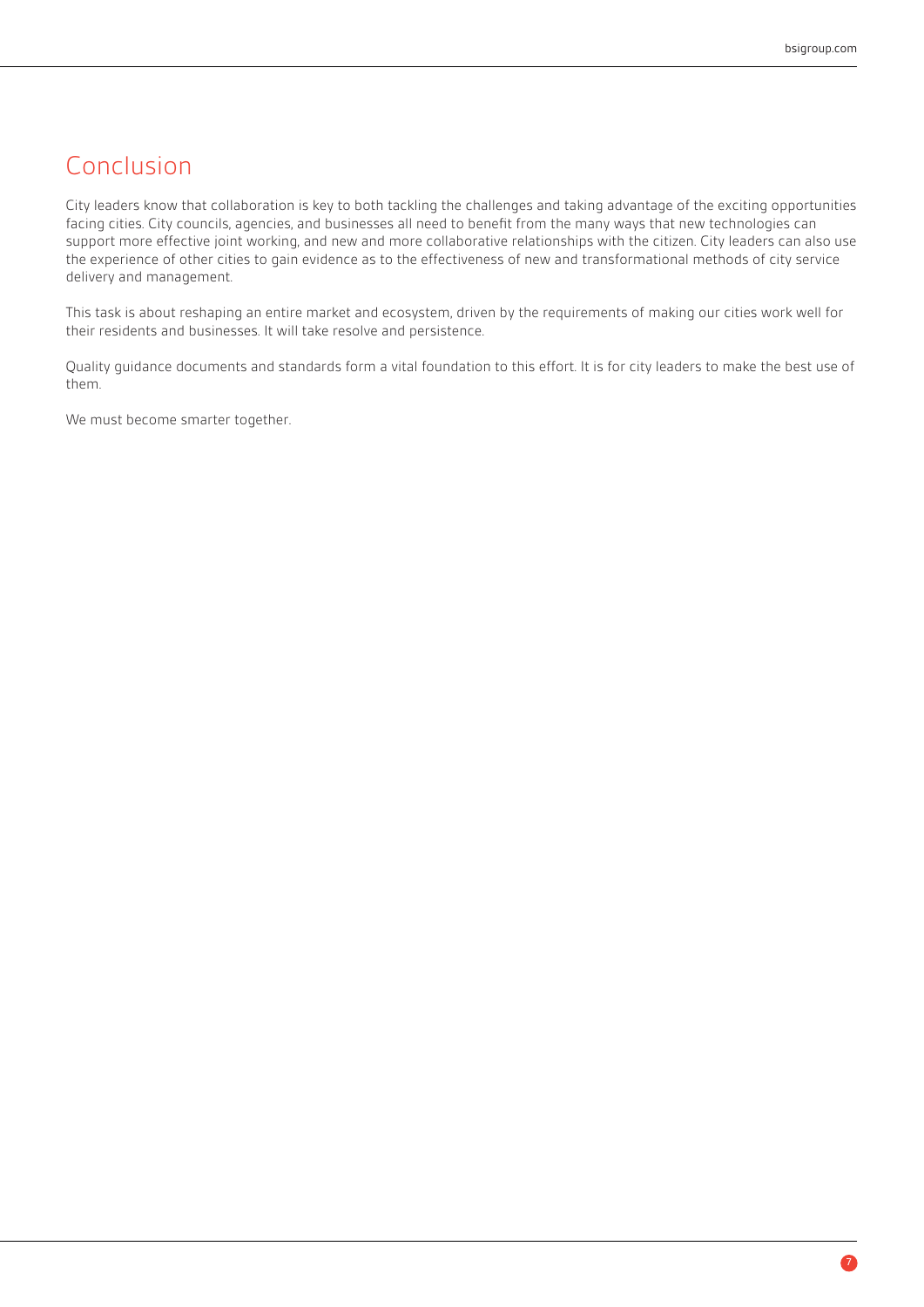# Conclusion

City leaders know that collaboration is key to both tackling the challenges and taking advantage of the exciting opportunities facing cities. City councils, agencies, and businesses all need to benefit from the many ways that new technologies can support more effective joint working, and new and more collaborative relationships with the citizen. City leaders can also use the experience of other cities to gain evidence as to the effectiveness of new and transformational methods of city service delivery and management.

This task is about reshaping an entire market and ecosystem, driven by the requirements of making our cities work well for their residents and businesses. It will take resolve and persistence.

Quality guidance documents and standards form a vital foundation to this effort. It is for city leaders to make the best use of them.

We must become smarter together.